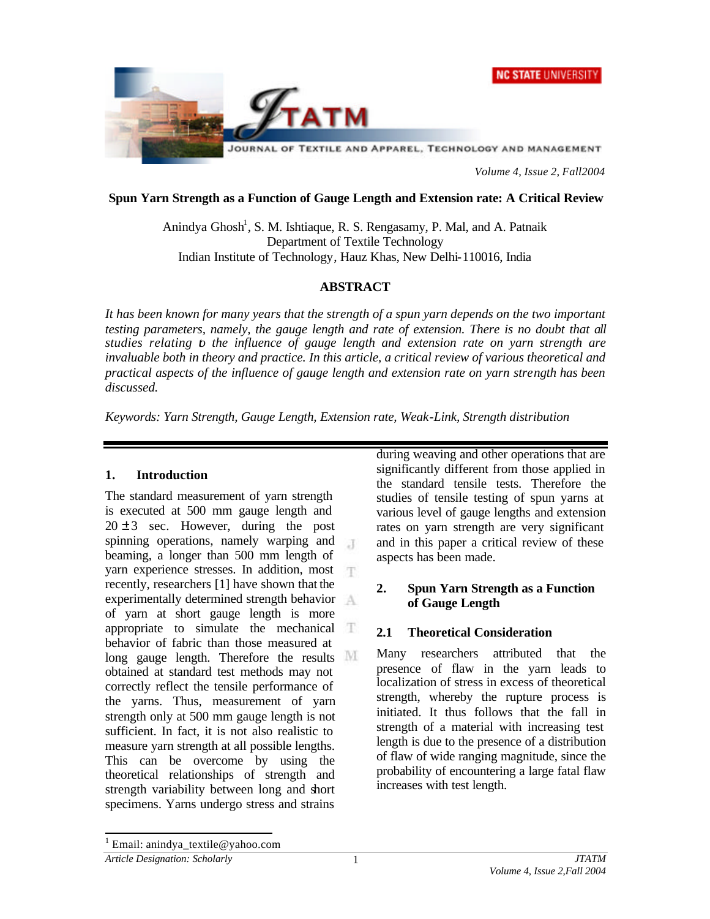



*Volume 4, Issue 2, Fall2004*

#### **Spun Yarn Strength as a Function of Gauge Length and Extension rate: A Critical Review**

Anindya Ghosh<sup>1</sup>, S. M. Ishtiaque, R. S. Rengasamy, P. Mal, and A. Patnaik Department of Textile Technology Indian Institute of Technology, Hauz Khas, New Delhi-110016, India

## **ABSTRACT**

*It has been known for many years that the strength of a spun yarn depends on the two important testing parameters, namely, the gauge length and rate of extension. There is no doubt that all studies relating to the influence of gauge length and extension rate on yarn strength are invaluable both in theory and practice. In this article, a critical review of various theoretical and practical aspects of the influence of gauge length and extension rate on yarn strength has been discussed.*

*Keywords: Yarn Strength, Gauge Length, Extension rate, Weak-Link, Strength distribution*

## **1. Introduction**

The standard measurement of yarn strength is executed at 500 mm gauge length and  $20 \pm 3$  sec. However, during the post spinning operations, namely warping and  $\overline{A}$ beaming, a longer than 500 mm length of yarn experience stresses. In addition, most recently, researchers [1] have shown that the experimentally determined strength behavior of yarn at short gauge length is more appropriate to simulate the mechanical behavior of fabric than those measured at long gauge length. Therefore the results M obtained at standard test methods may not correctly reflect the tensile performance of the yarns. Thus, measurement of yarn strength only at 500 mm gauge length is not sufficient. In fact, it is not also realistic to measure yarn strength at all possible lengths. This can be overcome by using the theoretical relationships of strength and strength variability between long and short specimens. Yarns undergo stress and strains

during weaving and other operations that are significantly different from those applied in the standard tensile tests. Therefore the studies of tensile testing of spun yarns at various level of gauge lengths and extension rates on yarn strength are very significant and in this paper a critical review of these aspects has been made.

## **2. Spun Yarn Strength as a Function of Gauge Length**

## **2.1 Theoretical Consideration**

Many researchers attributed that the presence of flaw in the yarn leads to localization of stress in excess of theoretical strength, whereby the rupture process is initiated. It thus follows that the fall in strength of a material with increasing test length is due to the presence of a distribution of flaw of wide ranging magnitude, since the probability of encountering a large fatal flaw increases with test length.

l

<sup>&</sup>lt;sup>1</sup> Email: anindya\_textile@yahoo.com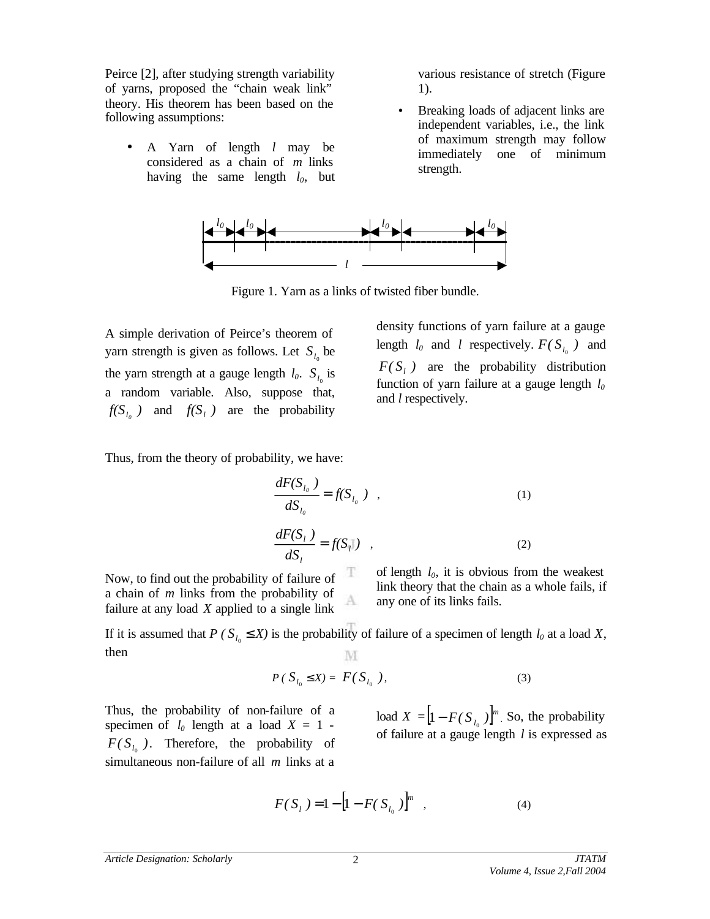Peirce [2], after studying strength variability of yarns, proposed the "chain weak link" theory. His theorem has been based on the following assumptions:

• A Yarn of length *l* may be considered as a chain of *m* links having the same length  $l_0$ , but various resistance of stretch (Figure 1).

• Breaking loads of adjacent links are independent variables, i.e., the link of maximum strength may follow immediately one of minimum strength.



Figure 1. Yarn as a links of twisted fiber bundle.

A simple derivation of Peirce's theorem of yarn strength is given as follows. Let  $S_{l_0}$  be the yarn strength at a gauge length  $l_0$ .  $S_{l_0}$  is a random variable. Also, suppose that,  $f(S_{l_0})$  and  $f(S_l)$  are the probability

density functions of yarn failure at a gauge length  $l_0$  and *l* respectively.  $F(S_{l_0})$  and  $F(S<sub>l</sub>)$  are the probability distribution function of yarn failure at a gauge length *l<sup>0</sup>* and *l* respectively.

Thus, from the theory of probability, we have:

$$
\frac{dF(S_{l_o})}{dS_{l_o}} = f(S_{l_o}) \quad , \tag{1}
$$

$$
\frac{dF(S_i)}{dS_i} = f(S_i|) \quad , \tag{2}
$$

Now, to find out the probability of failure of a chain of *m* links from the probability of failure at any load *X* applied to a single link

of length *l0*, it is obvious from the weakest link theory that the chain as a whole fails, if any one of its links fails.

If it is assumed that *P* ( $S_{l_0}$ ,  $\mathbf{f}$  *X*) is the probability of failure of a specimen of length  $l_0$  at a load *X*, then M

A

$$
P\left(\ S_{l_0} \le X\right) = F\left(\ S_{l_0}\right),\tag{3}
$$

Thus, the probability of non-failure of a specimen of  $l_0$  length at a load  $X = 1$  - $F(S_{l_0})$ . Therefore, the probability of simultaneous non-failure of all *m* links at a

load  $X = \left[ 1 - F(S_{i_0}) \right]^m$ . So, the probability of failure at a gauge length *l* is expressed as

$$
F(S_{l}) = 1 - \left[1 - F(S_{l_0})\right]^{m}, \qquad (4)
$$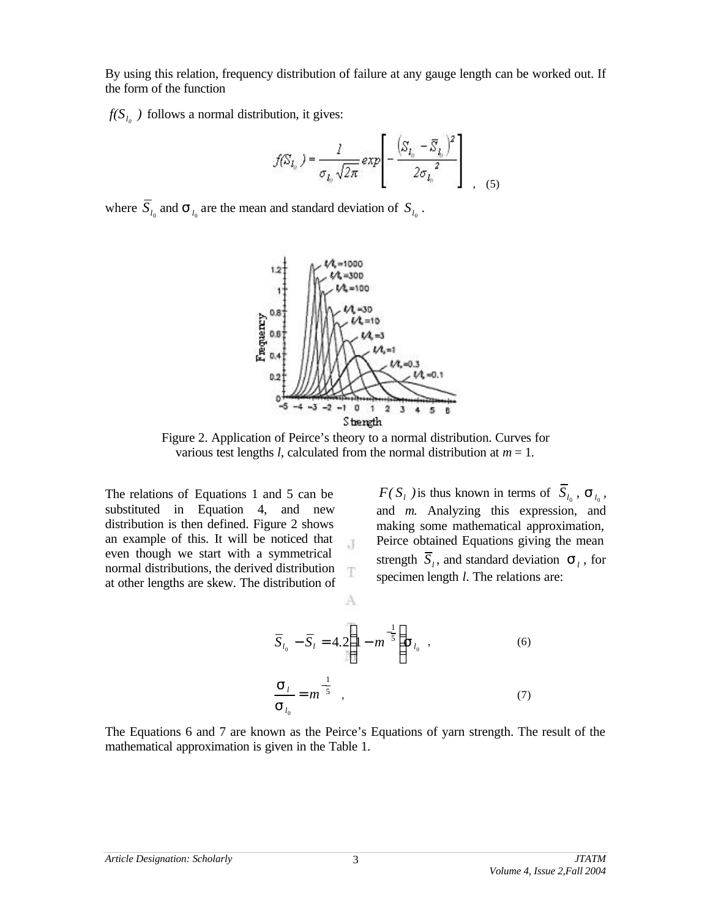By using this relation, frequency distribution of failure at any gauge length can be worked out. If the form of the function

 $f(S_{i_0})$  follows a normal distribution, it gives:

$$
f(S_{l_n}) = \frac{l}{\sigma_{l_n} \sqrt{2\pi}} \exp\left[-\frac{\left(S_{l_n} - \overline{S}_{l_n}\right)^2}{2\sigma_{l_n}^2}\right] \Bigg|_{1, (5)}
$$

where  $S_{l_0}$  and  $S_{l_0}$  are the mean and standard deviation of  $S_{l_0}$ .



Figure 2. Application of Peirce's theory to a normal distribution. Curves for various test lengths *l*, calculated from the normal distribution at  $m = 1$ .

 $\bar{A}$ 

T

A

The relations of Equations 1 and 5 can be substituted in Equation 4, and new distribution is then defined. Figure 2 shows an example of this. It will be noticed that even though we start with a symmetrical normal distributions, the derived distribution at other lengths are skew. The distribution of

 $F(S_i)$  is thus known in terms of  $S_{l_0}$ ,  $S_{l_0}$ , and *m*. Analyzing this expression, and making some mathematical approximation, Peirce obtained Equations giving the mean strength  $\overline{S}_l$ , and standard deviation  $\mathbf{S}_l$ , for specimen length *l*. The relations are:

$$
\overline{S}_{l_0} - \overline{S}_l = 4.2 \left( 1 - m^{-\frac{1}{5}} \right) S_{l_0} ,
$$
\n(6)\n
$$
\frac{S_l}{S_{l_0}} = m^{-\frac{1}{5}} ,
$$
\n(7)

The Equations 6 and 7 are known as the Peirce's Equations of yarn strength. The result of the mathematical approximation is given in the Table 1.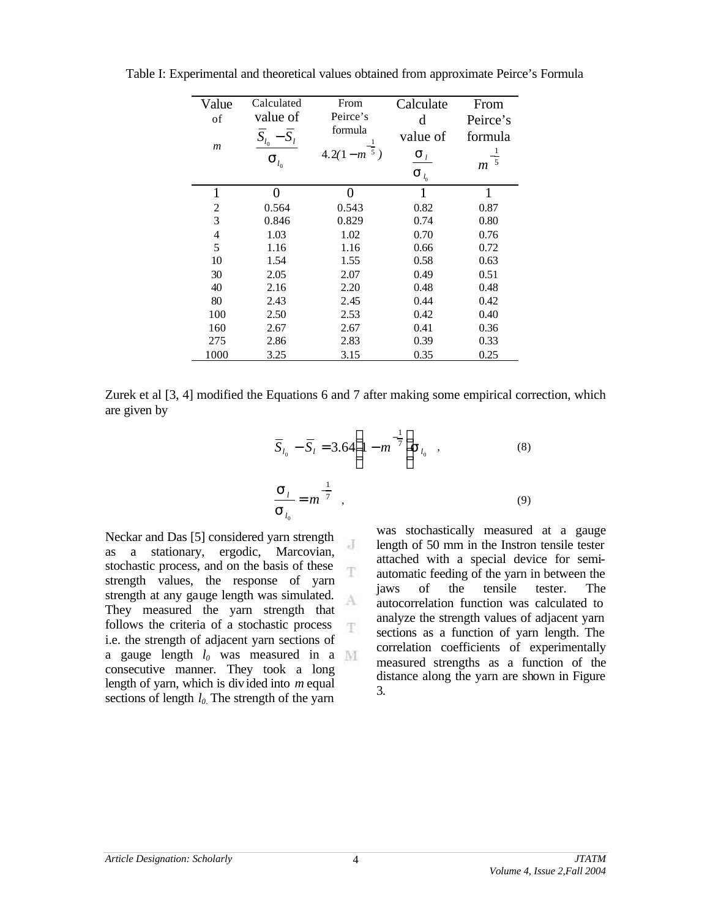| Value            | Calculated         | From                      | Calculate          | From             |
|------------------|--------------------|---------------------------|--------------------|------------------|
| of               | value of           | Peirce's                  | d                  | Peirce's         |
|                  | $S_{l_0}$          | formula                   | value of           | formula          |
| $\boldsymbol{m}$ | $\mathbf{S}_{l_0}$ | $4.2(1-m^{-\frac{1}{5}})$ | $S_l$              | $\overline{5}$   |
|                  |                    |                           | $\mathbf{S}_{l_0}$ | $\boldsymbol{m}$ |
| $\mathbf{1}$     | 0                  | 0                         | 1                  | 1                |
| $\overline{2}$   | 0.564              | 0.543                     | 0.82               | 0.87             |
| 3                | 0.846              | 0.829                     | 0.74               | 0.80             |
| $\overline{4}$   | 1.03               | 1.02                      | 0.70               | 0.76             |
| 5                | 1.16               | 1.16                      | 0.66               | 0.72             |
| 10               | 1.54               | 1.55                      | 0.58               | 0.63             |
| 30               | 2.05               | 2.07                      | 0.49               | 0.51             |
| 40               | 2.16               | 2.20                      | 0.48               | 0.48             |
| 80               | 2.43               | 2.45                      | 0.44               | 0.42             |
| 100              | 2.50               | 2.53                      | 0.42               | 0.40             |
| 160              | 2.67               | 2.67                      | 0.41               | 0.36             |
| 275              | 2.86               | 2.83                      | 0.39               | 0.33             |
| 1000             | 3.25               | 3.15                      | 0.35               | 0.25             |

Table I: Experimental and theoretical values obtained from approximate Peirce's Formula

Zurek et al [3, 4] modified the Equations 6 and 7 after making some empirical correction, which are given by

J

Ŧ

$$
\overline{S}_{l_0} - \overline{S}_l = 3.64 \left( 1 - m^{-\frac{1}{7}} \right) s_{l_0} ,
$$
\n(8)\n
$$
\frac{S_l}{S_{l_0}} = m^{-\frac{1}{7}} ,
$$
\n(9)

Neckar and Das [5] considered yarn strength as a stationary, ergodic, Marcovian, stochastic process, and on the basis of these strength values, the response of yarn strength at any gauge length was simulated.  $\Lambda$ They measured the yarn strength that follows the criteria of a stochastic process T. i.e. the strength of adjacent yarn sections of a gauge length *l0* was measured in a consecutive manner. They took a long length of yarn, which is divided into *m* equal sections of length *l0*. The strength of the yarn

was stochastically measured at a gauge length of 50 mm in the Instron tensile tester attached with a special device for semiautomatic feeding of the yarn in between the jaws of the tensile tester. The autocorrelation function was calculated to analyze the strength values of adjacent yarn sections as a function of yarn length. The correlation coefficients of experimentally measured strengths as a function of the distance along the yarn are shown in Figure 3.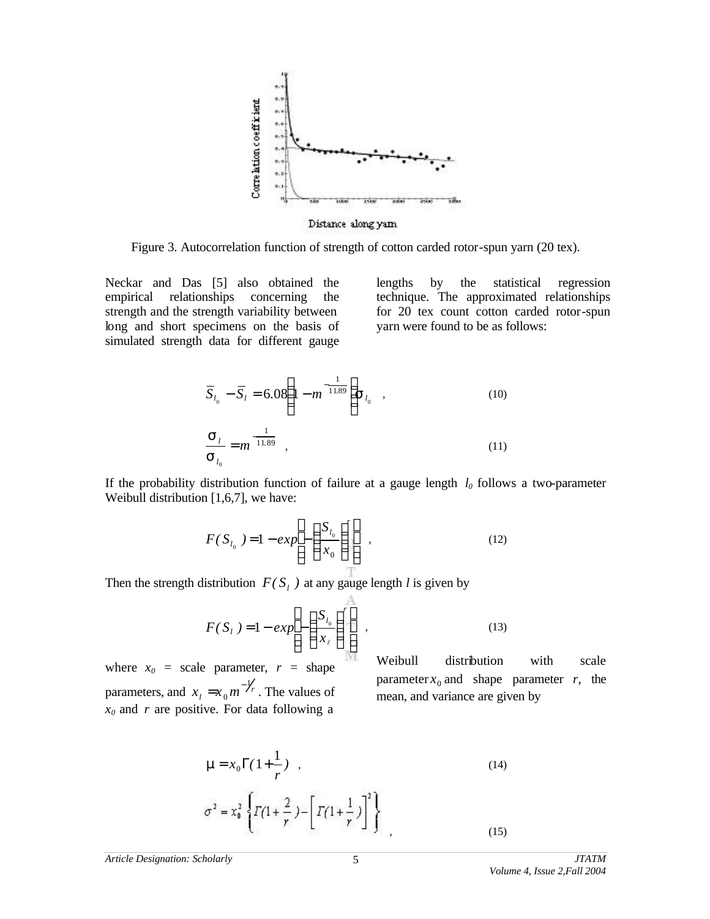

Figure 3. Autocorrelation function of strength of cotton carded rotor-spun yarn (20 tex).

Neckar and Das [5] also obtained the empirical relationships concerning the strength and the strength variability between long and short specimens on the basis of simulated strength data for different gauge lengths by the statistical regression technique. The approximated relationships for 20 tex count cotton carded rotor-spun yarn were found to be as follows:

$$
\overline{S}_{l_0} - \overline{S}_l = 6.08 \left( 1 - m^{-\frac{1}{11.89}} \right) S_{l_0} ,
$$
\n(10)\n
$$
\frac{S_l}{S_{l_0}} = m^{-\frac{1}{11.89}} ,
$$
\n(11)

If the probability distribution function of failure at a gauge length *l0* follows a two-parameter Weibull distribution [1,6,7], we have:

$$
F(S_{l_0}) = 1 - exp\left[-\left(\frac{S_{l_0}}{x_0}\right)^r\right],
$$
\n(12)

Then the strength distribution  $F(S_i)$  at any gauge length *l* is given by

$$
F(S_t) = 1 - exp\left[-\left(\frac{S_{t_0}}{x_\ell}\right)^r\right],
$$
\n(13)

where  $x_0$  = scale parameter,  $r$  = shape parameters, and  $x_i = x_0 m^{-\frac{1}{r}}$ 0  $=x_0 m^{-\gamma}$ . The values of  $x_0$  and *r* are positive. For data following a

Weibull distribution with scale parameter  $x_0$  and shape parameter *r*, the mean, and variance are given by

$$
\mathbf{m} = x_0 \Gamma(1 + \frac{1}{r}) \quad , \tag{14}
$$
\n
$$
\sigma^2 = x_0^2 \left\{ \Gamma(1 + \frac{2}{r}) - \left[ \Gamma(1 + \frac{1}{r}) \right]^2 \right\} \quad , \tag{15}
$$

*Article Designation: Scholarly JTATM*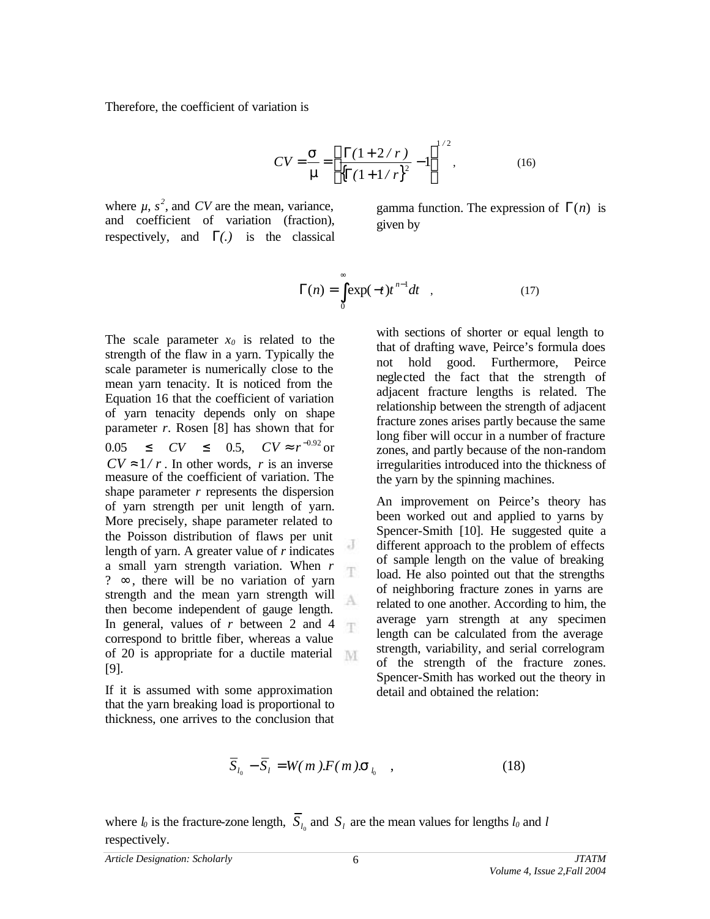Therefore, the coefficient of variation is

$$
CV = \frac{\mathbf{S}}{\mathbf{m}} = \left[ \frac{\Gamma(1 + 2/r)}{\left\{ \Gamma(1 + 1/r) \right\}^2} - 1 \right]^{1/2},\tag{16}
$$

where  $\mu$ ,  $s^2$ , and *CV* are the mean, variance, and coefficient of variation (fraction), respectively, and  $\Gamma(.)$  is the classical

gamma function. The expression of Γ(*n*) is given by

$$
\Gamma(n) = \int_{0}^{\infty} \exp(-t)t^{n-1}dt \quad , \tag{17}
$$

The scale parameter  $x_0$  is related to the strength of the flaw in a yarn. Typically the scale parameter is numerically close to the mean yarn tenacity. It is noticed from the Equation 16 that the coefficient of variation of yarn tenacity depends only on shape parameter *r*. Rosen [8] has shown that for  $0.05 \le CV \le 0.5$ ,  $CV \approx r^{-0.92}$  or  $CV \approx 1/r$ . In other words, *r* is an inverse measure of the coefficient of variation. The shape parameter *r* represents the dispersion of yarn strength per unit length of yarn. More precisely, shape parameter related to the Poisson distribution of flaws per unit length of yarn. A greater value of *r* indicates a small yarn strength variation. When *r*  ?  $\infty$ , there will be no variation of yarn strength and the mean yarn strength will then become independent of gauge length. In general, values of *r* between 2 and 4 correspond to brittle fiber, whereas a value of 20 is appropriate for a ductile material [9].

If it is assumed with some approximation that the yarn breaking load is proportional to thickness, one arrives to the conclusion that with sections of shorter or equal length to that of drafting wave, Peirce's formula does not hold good. Furthermore, Peirce neglected the fact that the strength of adjacent fracture lengths is related. The relationship between the strength of adjacent fracture zones arises partly because the same long fiber will occur in a number of fracture zones, and partly because of the non-random irregularities introduced into the thickness of the yarn by the spinning machines.

An improvement on Peirce's theory has been worked out and applied to yarns by Spencer-Smith [10]. He suggested quite a different approach to the problem of effects of sample length on the value of breaking load. He also pointed out that the strengths of neighboring fracture zones in yarns are related to one another. According to him, the average yarn strength at any specimen length can be calculated from the average strength, variability, and serial correlogram of the strength of the fracture zones. Spencer-Smith has worked out the theory in detail and obtained the relation:

$$
\overline{S}_{l_0} - \overline{S}_l = W(m) \cdot F(m) \cdot \mathbf{S}_{l_0} \quad , \tag{18}
$$

where  $l_0$  is the fracture-zone length,  $S_{l_0}$  and  $S_l$  are the mean values for lengths  $l_0$  and  $l$ respectively.

J

T.

A

T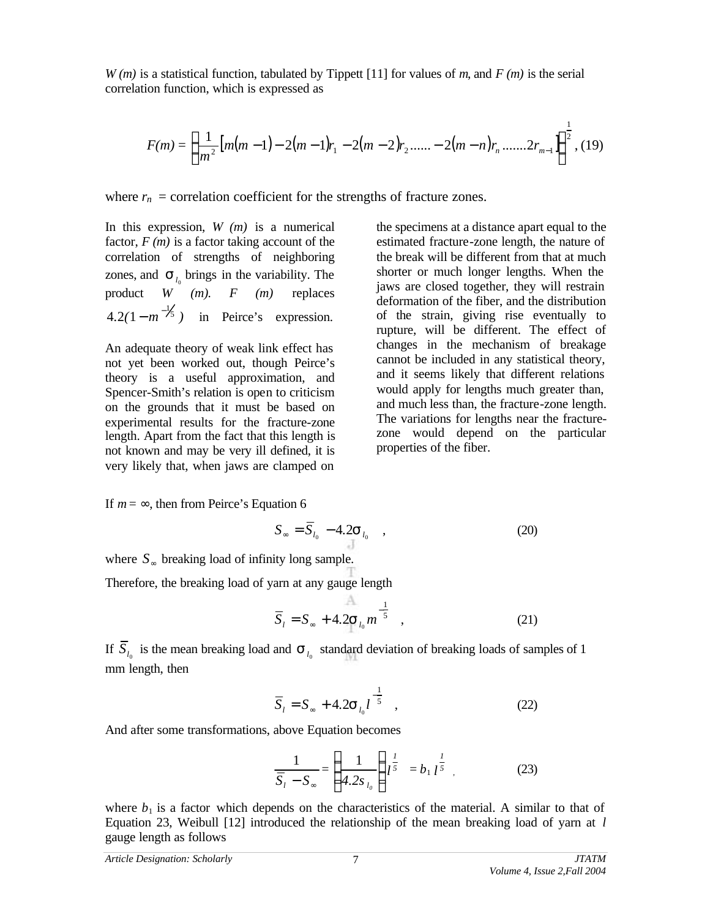*W (m)* is a statistical function, tabulated by Tippett [11] for values of *m*, and *F (m)* is the serial correlation function, which is expressed as

$$
F(m) = \left\{ \frac{1}{m^2} \left[ m(m-1) - 2(m-1)r_1 - 2(m-2)r_2 \dots - 2(m-n)r_n \dots \dots 2r_{m-1} \right] \right\}^{\frac{1}{2}}, (19)
$$

where  $r_n$  = correlation coefficient for the strengths of fracture zones.

In this expression, *W (m)* is a numerical factor, *F (m)* is a factor taking account of the correlation of strengths of neighboring zones, and  $S_{l_0}$  brings in the variability. The product *W (m). F (m)* replaces  $4.2(1 - m^{-1/5})$  in Peirce's expression.

An adequate theory of weak link effect has not yet been worked out, though Peirce's theory is a useful approximation, and Spencer-Smith's relation is open to criticism on the grounds that it must be based on experimental results for the fracture-zone length. Apart from the fact that this length is not known and may be very ill defined, it is very likely that, when jaws are clamped on

the specimens at a distance apart equal to the estimated fracture-zone length, the nature of the break will be different from that at much shorter or much longer lengths. When the jaws are closed together, they will restrain deformation of the fiber, and the distribution of the strain, giving rise eventually to rupture, will be different. The effect of changes in the mechanism of breakage cannot be included in any statistical theory, and it seems likely that different relations would apply for lengths much greater than, and much less than, the fracture-zone length. The variations for lengths near the fracturezone would depend on the particular properties of the fiber.

If  $m = \infty$ , then from Peirce's Equation 6

$$
S_{\infty} = \overline{S}_{l_0} - 4.2 \mathbf{S}_{l_0} \quad , \tag{20}
$$

where *S*<sup>∞</sup> breaking load of infinity long sample.

Therefore, the breaking load of yarn at any gauge length

$$
\overline{S}_l = S_{\infty} + 4.2 S_{l_0} m^{-\frac{1}{5}} \quad , \tag{21}
$$

If  $S_{l_0}$  is the mean breaking load and  $S_{l_0}$  standard deviation of breaking loads of samples of 1 mm length, then

$$
\overline{S}_l = S_{\infty} + 4.2 \mathbf{S}_{l_0} l^{-\frac{1}{5}} \quad , \tag{22}
$$

And after some transformations, above Equation becomes

$$
\frac{1}{\overline{S}_l - S_{\infty}} = \left(\frac{1}{4.2s_{l_0}}\right) l^{\frac{l}{5}} = b_1 l^{\frac{l}{5}} \quad . \tag{23}
$$

where  $b_1$  is a factor which depends on the characteristics of the material. A similar to that of Equation 23, Weibull [12] introduced the relationship of the mean breaking load of yarn at *l* gauge length as follows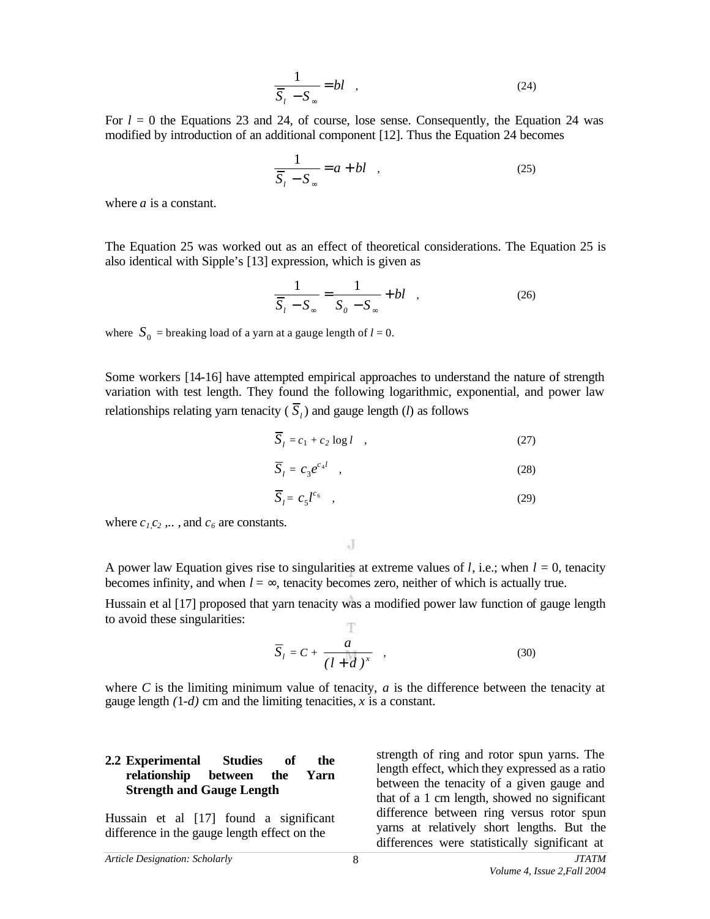$$
\frac{1}{\overline{S}_l - S_\infty} = bl \quad , \tag{24}
$$

For  $l = 0$  the Equations 23 and 24, of course, lose sense. Consequently, the Equation 24 was modified by introduction of an additional component [12]. Thus the Equation 24 becomes

$$
\frac{1}{\overline{S}_l - S_\infty} = a + bl \quad , \tag{25}
$$

where *a* is a constant.

The Equation 25 was worked out as an effect of theoretical considerations. The Equation 25 is also identical with Sipple's [13] expression, which is given as

$$
\frac{1}{\overline{S}_l - S_\infty} = \frac{1}{S_0 - S_\infty} + bl \quad , \tag{26}
$$

where  $S_0$  = breaking load of a yarn at a gauge length of  $l = 0$ .

Some workers [14-16] have attempted empirical approaches to understand the nature of strength variation with test length. They found the following logarithmic, exponential, and power law relationships relating yarn tenacity ( $\overline{S}_l$ ) and gauge length (*l*) as follows

$$
\overline{S}_l = c_1 + c_2 \log l \quad , \tag{27}
$$

$$
\overline{S}_l = c_3 e^{c_4 l} \quad , \tag{28}
$$

$$
\overline{S}_l = c_5 l^{c_6} \quad , \tag{29}
$$

where  $c_1$ , $c_2$ ,..., and  $c_6$  are constants.

J

A power law Equation gives rise to singularities at extreme values of  $l$ , i.e.; when  $l = 0$ , tenacity becomes infinity, and when  $l = \infty$ , tenacity becomes zero, neither of which is actually true.

Hussain et al [17] proposed that yarn tenacity was a modified power law function of gauge length to avoid these singularities: m.

$$
\overline{S}_l = C + \frac{a}{(l+d)^x} \quad , \tag{30}
$$

where *C* is the limiting minimum value of tenacity, *a* is the difference between the tenacity at gauge length  $(1-d)$  cm and the limiting tenacities, *x* is a constant.

#### **2.2 Experimental Studies of the relationship between the Yarn Strength and Gauge Length**

Hussain et al [17] found a significant difference in the gauge length effect on the

strength of ring and rotor spun yarns. The length effect, which they expressed as a ratio between the tenacity of a given gauge and that of a 1 cm length, showed no significant difference between ring versus rotor spun yarns at relatively short lengths. But the differences were statistically significant at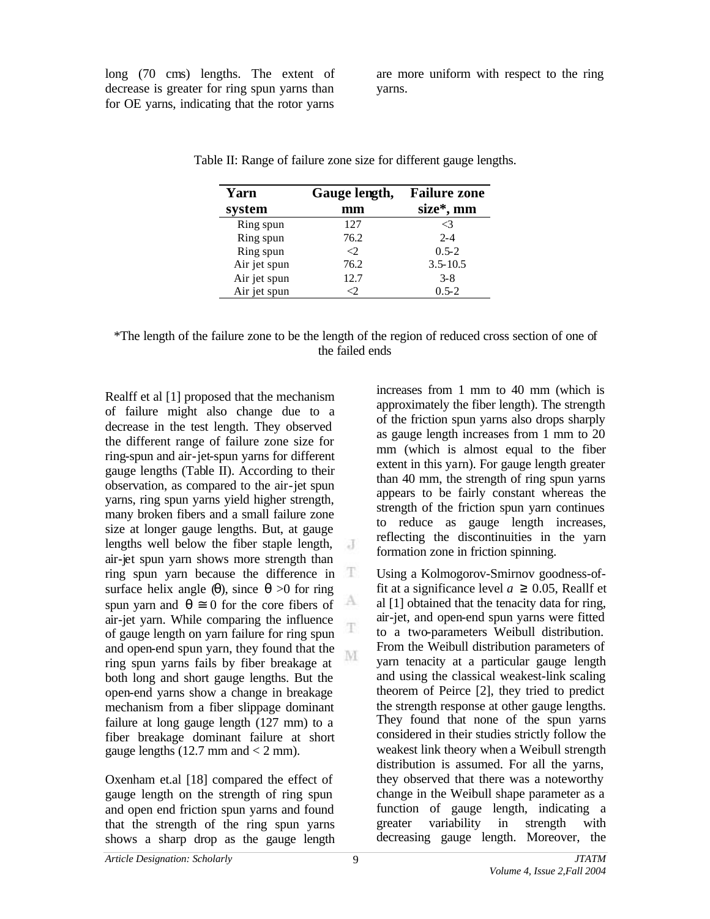long (70 cms) lengths. The extent of decrease is greater for ring spun yarns than for OE yarns, indicating that the rotor yarns

are more uniform with respect to the ring yarns.

| Yarn         | Gauge length, | <b>Failure zone</b> |
|--------------|---------------|---------------------|
| system       | mm            | size*, mm           |
| Ring spun    | 127           | $\mathcal{L}$       |
| Ring spun    | 76.2          | $2 - 4$             |
| Ring spun    | <੭.           | $0.5 - 2$           |
| Air jet spun | 76.2          | $3.5 - 10.5$        |
| Air jet spun | 12.7          | $3 - 8$             |
| Air jet spun |               | $0.5 - 2$           |

Table II: Range of failure zone size for different gauge lengths.

Realff et al [1] proposed that the mechanism of failure might also change due to a decrease in the test length. They observed the different range of failure zone size for ring-spun and air-jet-spun yarns for different gauge lengths (Table II). According to their observation, as compared to the air-jet spun yarns, ring spun yarns yield higher strength, many broken fibers and a small failure zone size at longer gauge lengths. But, at gauge lengths well below the fiber staple length,  $\overline{A}$ air-jet spun yarn shows more strength than ring spun yarn because the difference in  $\mathbb T$ surface helix angle  $(q)$ , since  $q > 0$  for ring А spun yarn and  $q \equiv 0$  for the core fibers of air-jet yarn. While comparing the influence of gauge length on yarn failure for ring spun and open-end spun yarn, they found that the ring spun yarns fails by fiber breakage at both long and short gauge lengths. But the open-end yarns show a change in breakage mechanism from a fiber slippage dominant failure at long gauge length (127 mm) to a fiber breakage dominant failure at short gauge lengths  $(12.7 \text{ mm and} < 2 \text{ mm})$ .

Oxenham et.al [18] compared the effect of gauge length on the strength of ring spun and open end friction spun yarns and found that the strength of the ring spun yarns shows a sharp drop as the gauge length increases from 1 mm to 40 mm (which is approximately the fiber length). The strength of the friction spun yarns also drops sharply as gauge length increases from 1 mm to 20 mm (which is almost equal to the fiber extent in this yarn). For gauge length greater than 40 mm, the strength of ring spun yarns appears to be fairly constant whereas the strength of the friction spun yarn continues to reduce as gauge length increases, reflecting the discontinuities in the yarn formation zone in friction spinning.

Using a Kolmogorov-Smirnov goodness-offit at a significance level  $a \ge 0.05$ , Reallf et al [1] obtained that the tenacity data for ring, air-jet, and open-end spun yarns were fitted to a two-parameters Weibull distribution. From the Weibull distribution parameters of yarn tenacity at a particular gauge length and using the classical weakest-link scaling theorem of Peirce [2], they tried to predict the strength response at other gauge lengths. They found that none of the spun yarns considered in their studies strictly follow the weakest link theory when a Weibull strength distribution is assumed. For all the yarns, they observed that there was a noteworthy change in the Weibull shape parameter as a function of gauge length, indicating a greater variability in strength with decreasing gauge length. Moreover, the

T

M.

<sup>\*</sup>The length of the failure zone to be the length of the region of reduced cross section of one of the failed ends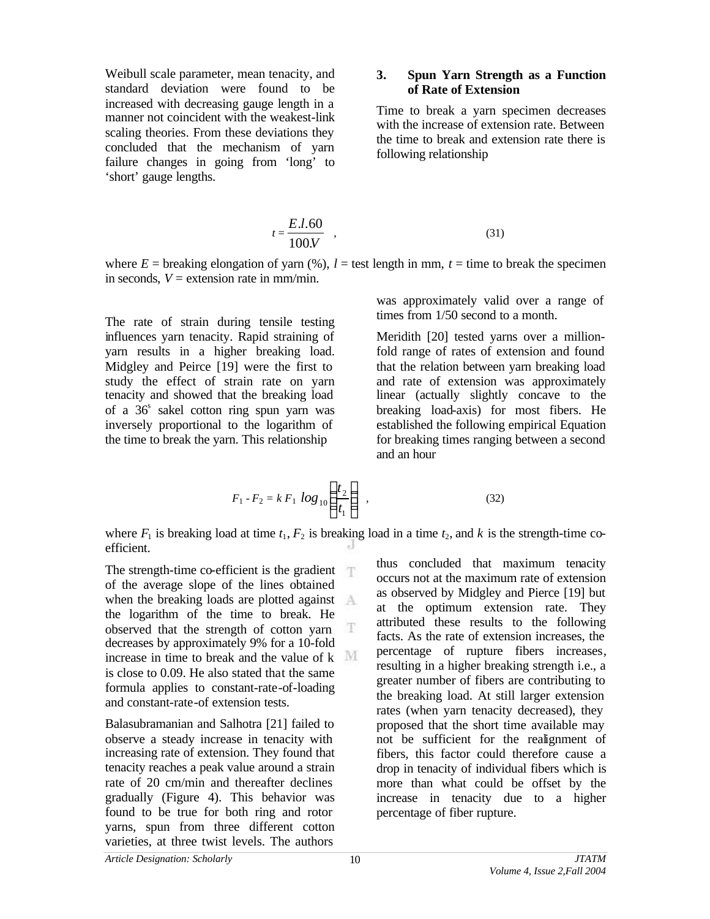Weibull scale parameter, mean tenacity, and standard deviation were found to be increased with decreasing gauge length in a manner not coincident with the weakest-link scaling theories. From these deviations they concluded that the mechanism of yarn failure changes in going from 'long' to 'short' gauge lengths.

#### **3. Spun Yarn Strength as a Function of Rate of Extension**

Time to break a yarn specimen decreases with the increase of extension rate. Between the time to break and extension rate there is following relationship

$$
t = \frac{E.l.60}{100 \cdot V} \quad , \tag{31}
$$

where  $E =$  breaking elongation of yarn (%),  $l =$  test length in mm,  $t =$  time to break the specimen in seconds,  $V =$  extension rate in mm/min.

The rate of strain during tensile testing influences yarn tenacity. Rapid straining of yarn results in a higher breaking load. Midgley and Peirce [19] were the first to study the effect of strain rate on yarn tenacity and showed that the breaking load of a  $36<sup>s</sup>$  sakel cotton ring spun yarn was inversely proportional to the logarithm of the time to break the yarn. This relationship

was approximately valid over a range of times from 1/50 second to a month.

Meridith [20] tested yarns over a millionfold range of rates of extension and found that the relation between yarn breaking load and rate of extension was approximately linear (actually slightly concave to the breaking load-axis) for most fibers. He established the following empirical Equation for breaking times ranging between a second and an hour

$$
F_1 - F_2 = k F_1 \log_{10} \left( \frac{t_2}{t_1} \right) \tag{32}
$$

where  $F_1$  is breaking load at time  $t_1, F_2$  is breaking load in a time  $t_2$ , and k is the strength-time coefficient.

The strength-time co-efficient is the gradient  $\top$ of the average slope of the lines obtained when the breaking loads are plotted against the logarithm of the time to break. He Ŧ observed that the strength of cotton yarn decreases by approximately 9% for a 10-fold increase in time to break and the value of  $k$ is close to 0.09. He also stated that the same formula applies to constant-rate-of-loading and constant-rate-of extension tests.

Balasubramanian and Salhotra [21] failed to observe a steady increase in tenacity with increasing rate of extension. They found that tenacity reaches a peak value around a strain rate of 20 cm/min and thereafter declines gradually (Figure 4). This behavior was found to be true for both ring and rotor yarns, spun from three different cotton varieties, at three twist levels. The authors

thus concluded that maximum tenacity occurs not at the maximum rate of extension as observed by Midgley and Pierce [19] but at the optimum extension rate. They attributed these results to the following facts. As the rate of extension increases, the percentage of rupture fibers increases, resulting in a higher breaking strength i.e., a greater number of fibers are contributing to the breaking load. At still larger extension rates (when yarn tenacity decreased), they proposed that the short time available may not be sufficient for the realignment of fibers, this factor could therefore cause a drop in tenacity of individual fibers which is more than what could be offset by the increase in tenacity due to a higher percentage of fiber rupture.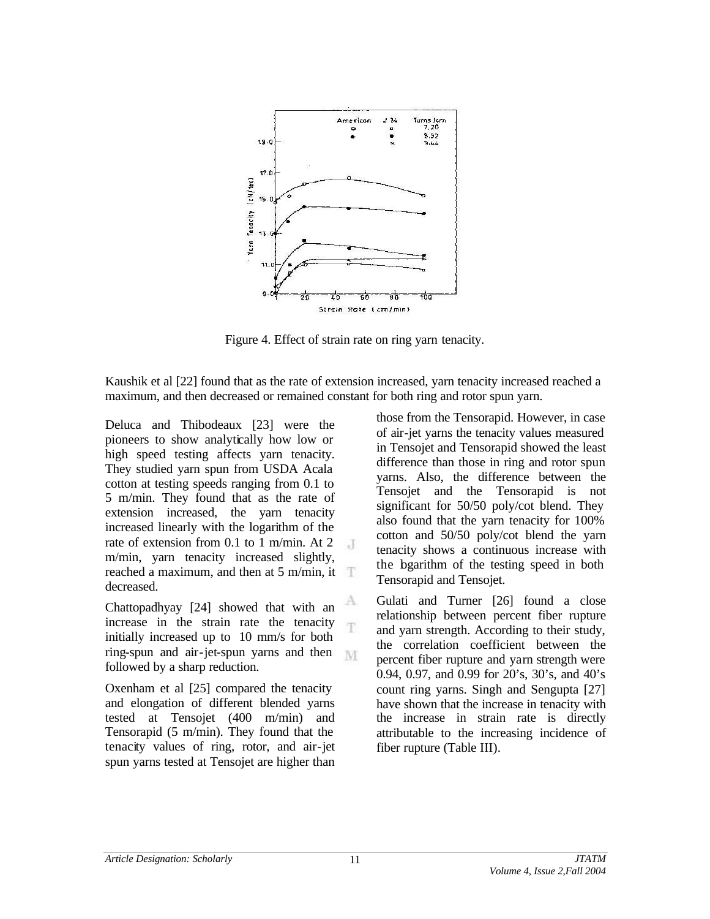

Figure 4. Effect of strain rate on ring yarn tenacity.

Kaushik et al [22] found that as the rate of extension increased, yarn tenacity increased reached a maximum, and then decreased or remained constant for both ring and rotor spun yarn.

A

T

Deluca and Thibodeaux [23] were the pioneers to show analytically how low or high speed testing affects yarn tenacity. They studied yarn spun from USDA Acala cotton at testing speeds ranging from 0.1 to 5 m/min. They found that as the rate of extension increased, the yarn tenacity increased linearly with the logarithm of the rate of extension from 0.1 to 1 m/min. At 2  $-1$ m/min, yarn tenacity increased slightly, reached a maximum, and then at 5 m/min, it decreased.

Chattopadhyay [24] showed that with an increase in the strain rate the tenacity initially increased up to 10 mm/s for both ring-spun and air-jet-spun yarns and then M followed by a sharp reduction.

Oxenham et al [25] compared the tenacity and elongation of different blended yarns tested at Tensojet (400 m/min) and Tensorapid (5 m/min). They found that the tenacity values of ring, rotor, and air-jet spun yarns tested at Tensojet are higher than

those from the Tensorapid. However, in case of air-jet yarns the tenacity values measured in Tensojet and Tensorapid showed the least difference than those in ring and rotor spun yarns. Also, the difference between the Tensojet and the Tensorapid is not significant for 50/50 poly/cot blend. They also found that the yarn tenacity for 100% cotton and 50/50 poly/cot blend the yarn tenacity shows a continuous increase with the bgarithm of the testing speed in both Tensorapid and Tensojet.

Gulati and Turner [26] found a close relationship between percent fiber rupture and yarn strength. According to their study, the correlation coefficient between the percent fiber rupture and yarn strength were 0.94, 0.97, and 0.99 for 20's, 30's, and 40's count ring yarns. Singh and Sengupta [27] have shown that the increase in tenacity with the increase in strain rate is directly attributable to the increasing incidence of fiber rupture (Table III).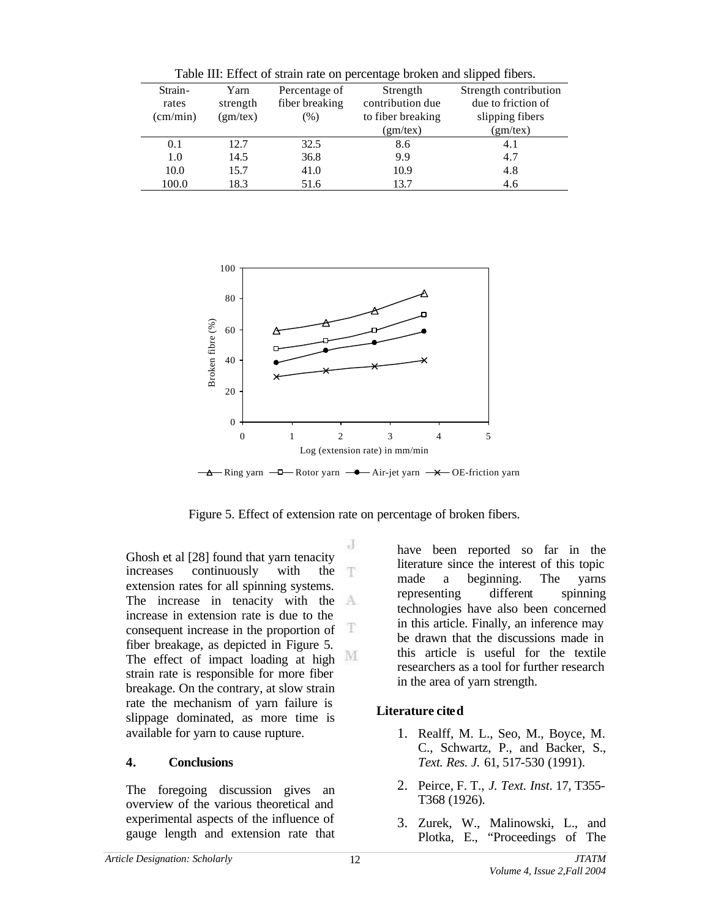| Strain-           | Yarn     | Percentage of  | Strength          | Strength contribution |
|-------------------|----------|----------------|-------------------|-----------------------|
| rates             | strength | fiber breaking | contribution due  | due to friction of    |
| $\text{(cm/min)}$ | (gm/tex) | $(\%)$         | to fiber breaking | slipping fibers       |
|                   |          |                | (gm/tex)          | (gm/tex)              |
| 0.1               | 12.7     | 32.5           | 8.6               | 4.1                   |
| 1.0               | 14.5     | 36.8           | 9.9               | 4.7                   |
| 10.0              | 15.7     | 41.0           | 10.9              | 4.8                   |
| 100.0             | 18.3     | 51.6           | 13.7              | 4.6                   |

Table III: Effect of strain rate on percentage broken and slipped fibers.



A Ring yarn - Rotor yarn - Air-jet yarn - X OE-friction yarn

Figure 5. Effect of extension rate on percentage of broken fibers.

J

Ghosh et al [28] found that yarn tenacity increases continuously with the T extension rates for all spinning systems. The increase in tenacity with the  $A$ increase in extension rate is due to the æ consequent increase in the proportion of fiber breakage, as depicted in Figure 5. M The effect of impact loading at high strain rate is responsible for more fiber breakage. On the contrary, at slow strain rate the mechanism of yarn failure is slippage dominated, as more time is available for yarn to cause rupture.

## **4. Conclusions**

The foregoing discussion gives an overview of the various theoretical and experimental aspects of the influence of gauge length and extension rate that have been reported so far in the literature since the interest of this topic made a beginning. The yarns representing different spinning technologies have also been concerned in this article. Finally, an inference may be drawn that the discussions made in this article is useful for the textile researchers as a tool for further research in the area of yarn strength.

# **Literature cited**

- 1. Realff, M. L., Seo, M., Boyce, M. C., Schwartz, P., and Backer, S., *Text. Res. J.* 61, 517-530 (1991).
- 2. Peirce, F. T., *J. Text. Inst*. 17, T355- T368 (1926).
- 3. Zurek, W., Malinowski, L., and Plotka, E., "Proceedings of The